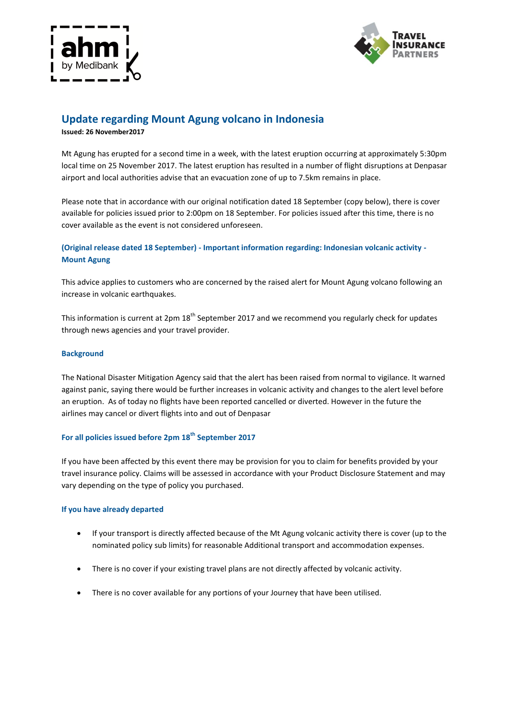



# **Update regarding Mount Agung volcano in Indonesia**

**Issued: 26 November2017**

Mt Agung has erupted for a second time in a week, with the latest eruption occurring at approximately 5:30pm local time on 25 November 2017. The latest eruption has resulted in a number of flight disruptions at Denpasar airport and local authorities advise that an evacuation zone of up to 7.5km remains in place.

Please note that in accordance with our original notification dated 18 September (copy below), there is cover available for policies issued prior to 2:00pm on 18 September. For policies issued after this time, there is no cover available as the event is not considered unforeseen.

## **(Original release dated 18 September) - Important information regarding: Indonesian volcanic activity - Mount Agung**

This advice applies to customers who are concerned by the raised alert for Mount Agung volcano following an increase in volcanic earthquakes.

This information is current at  $2$ pm  $18<sup>th</sup>$  September 2017 and we recommend you regularly check for updates through news agencies and your travel provider.

### **Background**

The National Disaster Mitigation Agency said that the alert has been raised from normal to vigilance. It warned against panic, saying there would be further increases in volcanic activity and changes to the alert level before an eruption. As of today no flights have been reported cancelled or diverted. However in the future the airlines may cancel or divert flights into and out of Denpasar

# **For all policies issued before 2pm 18th September 2017**

If you have been affected by this event there may be provision for you to claim for benefits provided by your travel insurance policy. Claims will be assessed in accordance with your Product Disclosure Statement and may vary depending on the type of policy you purchased.

#### **If you have already departed**

- If your transport is directly affected because of the Mt Agung volcanic activity there is cover (up to the nominated policy sub limits) for reasonable Additional transport and accommodation expenses.
- There is no cover if your existing travel plans are not directly affected by volcanic activity.
- There is no cover available for any portions of your Journey that have been utilised.